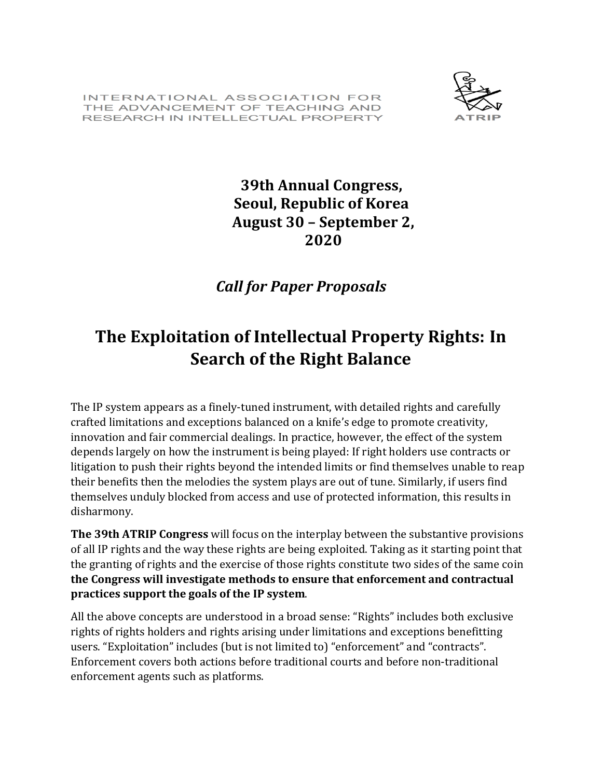INTERNATIONAL ASSOCIATION FOR THE ADVANCEMENT OF TEACHING AND RESEARCH IN INTELLECTUAL PROPERTY



## **39th Annual Congress, Seoul, Republic of Korea August 30 – September 2, 2020**

## *Call for Paper Proposals*

## **The Exploitation of Intellectual Property Rights: In Search of the Right Balance**

The IP system appears as a finely-tuned instrument, with detailed rights and carefully crafted limitations and exceptions balanced on a knife's edge to promote creativity, innovation and fair commercial dealings. In practice, however, the effect of the system depends largely on how the instrument is being played: If right holders use contracts or litigation to push their rights beyond the intended limits or find themselves unable to reap their benefits then the melodies the system plays are out of tune. Similarly, if users find themselves unduly blocked from access and use of protected information, this results in disharmony.

**The 39th ATRIP Congress** will focus on the interplay between the substantive provisions of all IP rights and the way these rights are being exploited. Taking as it starting point that the granting of rights and the exercise of those rights constitute two sides of the same coin **the Congress will investigate methods to ensure that enforcement and contractual practices support the goals of the IP system**.

All the above concepts are understood in a broad sense: "Rights" includes both exclusive rights of rights holders and rights arising under limitations and exceptions benefitting users. "Exploitation" includes (but is not limited to) "enforcement" and "contracts". Enforcement covers both actions before traditional courts and before non-traditional enforcement agents such as platforms.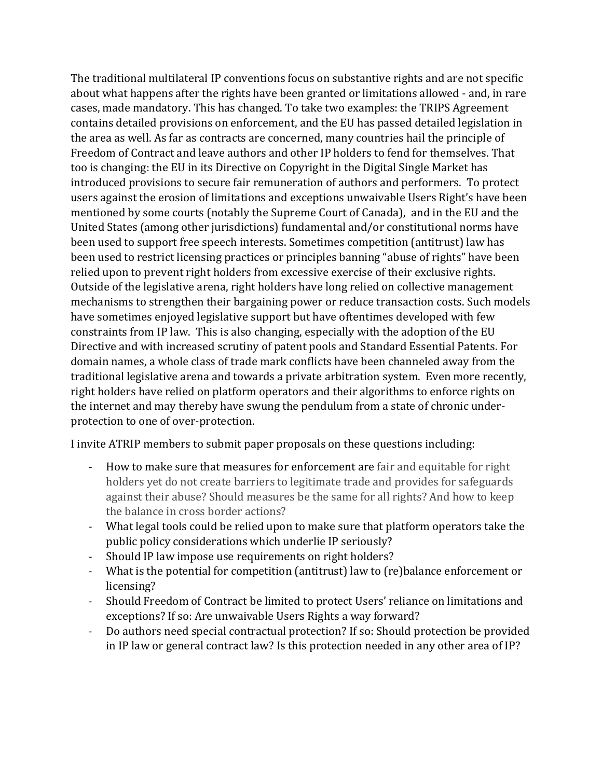The traditional multilateral IP conventions focus on substantive rights and are not specific about what happens after the rights have been granted or limitations allowed - and, in rare cases, made mandatory. This has changed. To take two examples: the TRIPS Agreement contains detailed provisions on enforcement, and the EU has passed detailed legislation in the area as well. As far as contracts are concerned, many countries hail the principle of Freedom of Contract and leave authors and other IP holders to fend for themselves. That too is changing: the EU in its Directive on Copyright in the Digital Single Market has introduced provisions to secure fair remuneration of authors and performers. To protect users against the erosion of limitations and exceptions unwaivable Users Right's have been mentioned by some courts (notably the Supreme Court of Canada), and in the EU and the United States (among other jurisdictions) fundamental and/or constitutional norms have been used to support free speech interests. Sometimes competition (antitrust) law has been used to restrict licensing practices or principles banning "abuse of rights" have been relied upon to prevent right holders from excessive exercise of their exclusive rights. Outside of the legislative arena, right holders have long relied on collective management mechanisms to strengthen their bargaining power or reduce transaction costs. Such models have sometimes enjoyed legislative support but have oftentimes developed with few constraints from IP law. This is also changing, especially with the adoption of the EU Directive and with increased scrutiny of patent pools and Standard Essential Patents. For domain names, a whole class of trade mark conflicts have been channeled away from the traditional legislative arena and towards a private arbitration system. Even more recently, right holders have relied on platform operators and their algorithms to enforce rights on the internet and may thereby have swung the pendulum from a state of chronic underprotection to one of over-protection.

I invite ATRIP members to submit paper proposals on these questions including:

- How to make sure that measures for enforcement are fair and equitable for right holders yet do not create barriers to legitimate trade and provides for safeguards against their abuse? Should measures be the same for all rights? And how to keep the balance in cross border actions?
- What legal tools could be relied upon to make sure that platform operators take the public policy considerations which underlie IP seriously?
- Should IP law impose use requirements on right holders?
- What is the potential for competition (antitrust) law to (re)balance enforcement or licensing?
- Should Freedom of Contract be limited to protect Users' reliance on limitations and exceptions? If so: Are unwaivable Users Rights a way forward?
- Do authors need special contractual protection? If so: Should protection be provided in IP law or general contract law? Is this protection needed in any other area of IP?